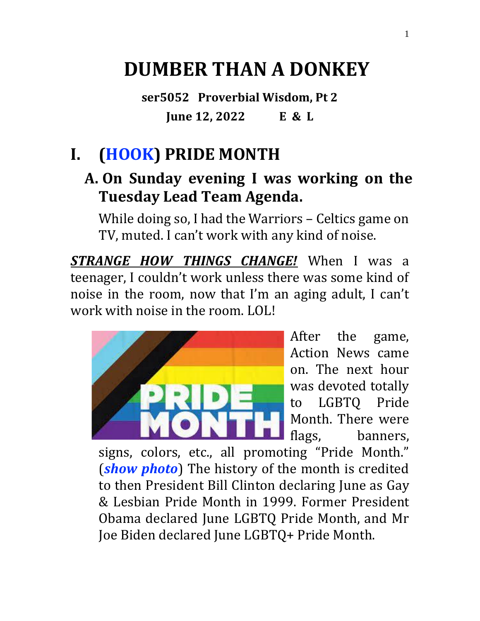# **DUMBER THAN A DONKEY**

**ser5052 Proverbial Wisdom, Pt 2 June 12, 2022 E & L**

# **I. (HOOK) PRIDE MONTH**

### **A. On Sunday evening I was working on the Tuesday Lead Team Agenda.**

While doing so, I had the Warriors – Celtics game on TV, muted. I can't work with any kind of noise.

*STRANGE HOW THINGS CHANGE!* When I was a teenager, I couldn't work unless there was some kind of noise in the room, now that I'm an aging adult, I can't work with noise in the room. LOL!



After the game, Action News came on. The next hour was devoted totally to LGBTQ Pride Month. There were flags, banners,

signs, colors, etc., all promoting "Pride Month." (*show photo*) The history of the month is credited to then President Bill Clinton declaring June as Gay & Lesbian Pride Month in 1999. Former President Obama declared June LGBTQ Pride Month, and Mr Joe Biden declared June LGBTQ+ Pride Month.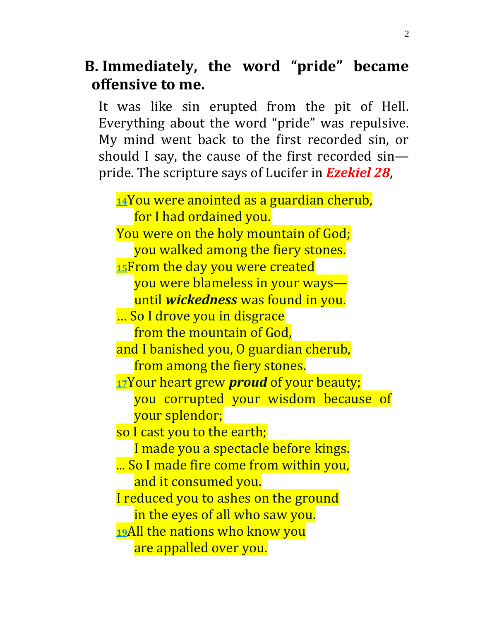### **B. Immediately, the word "pride" became offensive to me.**

It was like sin erupted from the pit of Hell. Everything about the word "pride" was repulsive. My mind went back to the first recorded sin, or should I say, the cause of the first recorded sin pride. The scripture says of Lucifer in *Ezekiel 28*,

**[14](https://biblehub.com/ezekiel/28-14.htm)**You were anointed as a guardian cherub, for I had ordained you. You were on the holy mountain of God; you walked among the fiery stones. **[15](https://biblehub.com/ezekiel/28-15.htm)**From the day you were created you were blameless in your ways until *wickedness* was found in you. … So I drove you in disgrace from the mountain of God, and I banished you, O guardian cherub, from among the fiery stones. **[17](https://biblehub.com/ezekiel/28-17.htm)**Your heart grew *proud* of your beauty; you corrupted your wisdom because of your splendor; so I cast you to the earth; I made you a spectacle before kings. ... So I made fire come from within you, and it consumed you. I reduced you to ashes on the ground in the eyes of all who saw you. **[19](https://biblehub.com/ezekiel/28-19.htm)**All the nations who know you are appalled over you.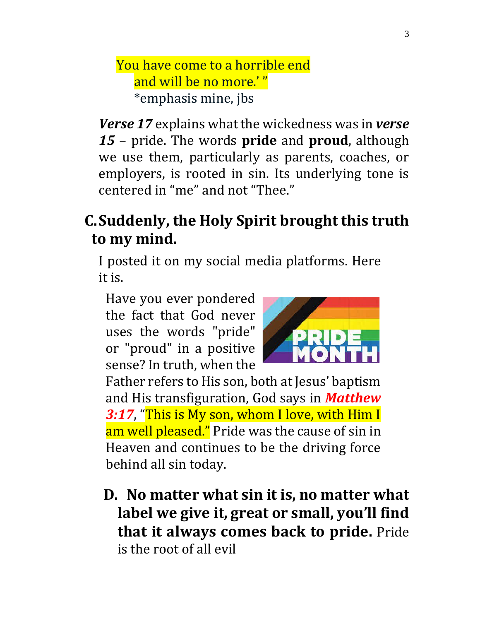#### You have come to a horrible end and will be no more.' " \*emphasis mine, jbs

*Verse 17* explains what the wickedness was in *verse 15* – pride. The words **pride** and **proud**, although we use them, particularly as parents, coaches, or employers, is rooted in sin. Its underlying tone is centered in "me" and not "Thee."

# **C.Suddenly, the Holy Spirit brought this truth to my mind.**

I posted it on my social media platforms. Here it is.

Have you ever pondered the fact that God never uses the words "pride" or "proud" in a positive sense? In truth, when the



Father refers to His son, both at Jesus' baptism and His transfiguration, God says in *Matthew 3:17*, "This is My son, whom I love, with Him I am well pleased." Pride was the cause of sin in Heaven and continues to be the driving force behind all sin today.

**D. No matter what sin it is, no matter what label we give it, great or small, you'll find that it always comes back to pride.** Pride is the root of all evil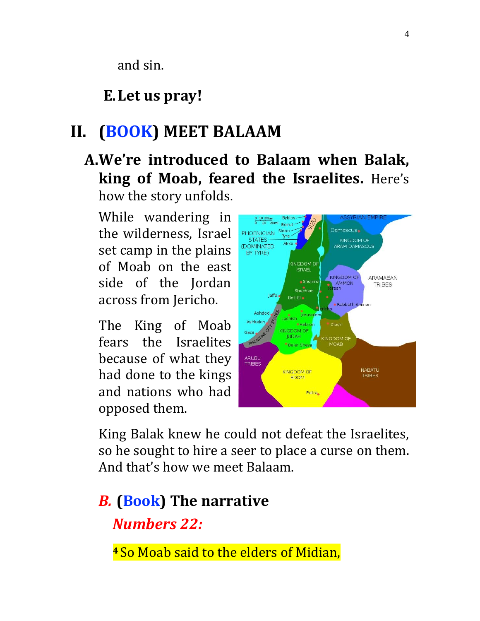and sin.

### **E.Let us pray!**

# **II. (BOOK) MEET BALAAM**

**A.We're introduced to Balaam when Balak, king of Moab, feared the Israelites.** Here's how the story unfolds.

While wandering in the wilderness, Israel set camp in the plains of Moab on the east side of the Jordan across from Jericho.

The King of Moab fears the Israelites because of what they had done to the kings and nations who had opposed them.



King Balak knew he could not defeat the Israelites, so he sought to hire a seer to place a curse on them. And that's how we meet Balaam.

# *B.* **(Book) The narrative** *Numbers 22:*

**<sup>4</sup> So Moab said to the elders of Midian,**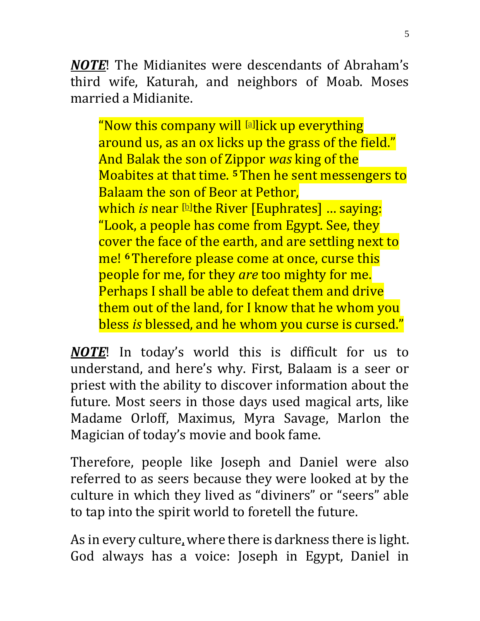*NOTE*! The Midianites were descendants of Abraham's third wife, Katurah, and neighbors of Moab. Moses married a Midianite.

"Now this company will [\[a\]](https://www.biblegateway.com/passage/?search=Numbers+22&version=NKJV#fen-NKJV-4380a) lick up everything around us, as an ox licks up the grass of the field." And Balak the son of Zippor *was* king of the Moabites at that time. **<sup>5</sup>**Then he sent messengers to Balaam the son of Beor at Pethor, which *is* near [\[b\]](https://www.biblegateway.com/passage/?search=Numbers+22&version=NKJV#fen-NKJV-4381b)the River [Euphrates] … saying: "Look, a people has come from Egypt. See, they cover the face of the earth, and are settling next to me! **<sup>6</sup>**Therefore please come at once, curse this people for me, for they *are* too mighty for me. Perhaps I shall be able to defeat them and drive them out of the land, for I know that he whom you bless *is* blessed, and he whom you curse is cursed."

*NOTE*! In today's world this is difficult for us to understand, and here's why. First, Balaam is a seer or priest with the ability to discover information about the future. Most seers in those days used magical arts, like Madame Orloff, Maximus, Myra Savage, Marlon the Magician of today's movie and book fame.

Therefore, people like Joseph and Daniel were also referred to as seers because they were looked at by the culture in which they lived as "diviners" or "seers" able to tap into the spirit world to foretell the future.

As in every culture, where there is darkness there is light. God always has a voice: Joseph in Egypt, Daniel in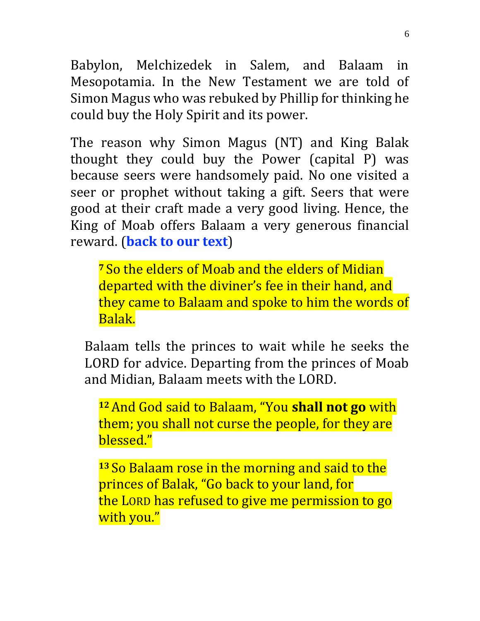Babylon, Melchizedek in Salem, and Balaam in Mesopotamia. In the New Testament we are told of Simon Magus who was rebuked by Phillip for thinking he could buy the Holy Spirit and its power.

The reason why Simon Magus (NT) and King Balak thought they could buy the Power (capital P) was because seers were handsomely paid. No one visited a seer or prophet without taking a gift. Seers that were good at their craft made a very good living. Hence, the King of Moab offers Balaam a very generous financial reward. (**back to our text**)

**<sup>7</sup>** So the elders of Moab and the elders of Midian departed with the diviner's fee in their hand, and they came to Balaam and spoke to him the words of Balak.

Balaam tells the princes to wait while he seeks the LORD for advice. Departing from the princes of Moab and Midian, Balaam meets with the LORD.

**<sup>12</sup>**And God said to Balaam, "You **shall not go** with them; you shall not curse the people, for they are blessed."

**<sup>13</sup>** So Balaam rose in the morning and said to the princes of Balak, "Go back to your land, for the LORD has refused to give me permission to go with you."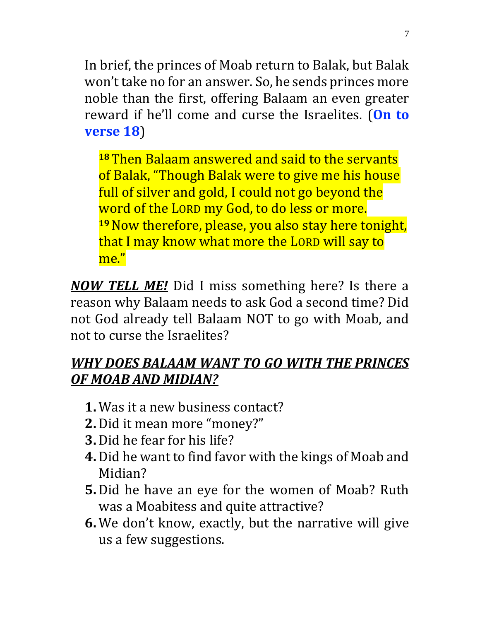In brief, the princes of Moab return to Balak, but Balak won't take no for an answer. So, he sends princes more noble than the first, offering Balaam an even greater reward if he'll come and curse the Israelites. (**On to verse 18**)

**<sup>18</sup>**Then Balaam answered and said to the servants of Balak, "Though Balak were to give me his house full of silver and gold, I could not go beyond the word of the LORD my God, to do less or more. **<sup>19</sup>**Now therefore, please, you also stay here tonight, that I may know what more the LORD will say to me."

*NOW TELL ME!* Did I miss something here? Is there a reason why Balaam needs to ask God a second time? Did not God already tell Balaam NOT to go with Moab, and not to curse the Israelites?

#### *WHY DOES BALAAM WANT TO GO WITH THE PRINCES OF MOAB AND MIDIAN?*

- **1.** Was it a new business contact?
- **2.** Did it mean more "money?"
- **3.** Did he fear for his life?
- **4.** Did he want to find favor with the kings of Moab and Midian?
- **5.** Did he have an eye for the women of Moab? Ruth was a Moabitess and quite attractive?
- **6.** We don't know, exactly, but the narrative will give us a few suggestions.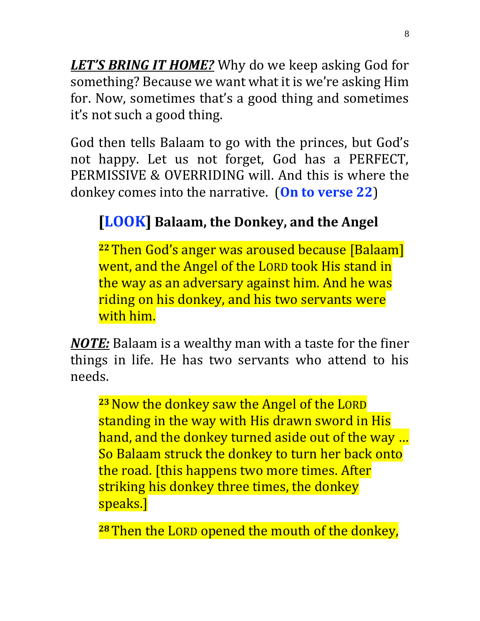*LET'S BRING IT HOME?* Why do we keep asking God for something? Because we want what it is we're asking Him for. Now, sometimes that's a good thing and sometimes it's not such a good thing.

God then tells Balaam to go with the princes, but God's not happy. Let us not forget, God has a PERFECT, PERMISSIVE & OVERRIDING will. And this is where the donkey comes into the narrative. (**On to verse 22**)

# **[LOOK] Balaam, the Donkey, and the Angel**

**<sup>22</sup>**Then God's anger was aroused because [Balaam] went, and the Angel of the LORD took His stand in the way as an adversary against him. And he was riding on his donkey, and his two servants were with him.

*NOTE:* Balaam is a wealthy man with a taste for the finer things in life. He has two servants who attend to his needs.

**<sup>23</sup>**Now the donkey saw the Angel of the LORD standing in the way with His drawn sword in His hand, and the donkey turned aside out of the way … So Balaam struck the donkey to turn her back onto the road. [this happens two more times. After striking his donkey three times, the donkey speaks.]

**<sup>28</sup>**Then the LORD opened the mouth of the donkey,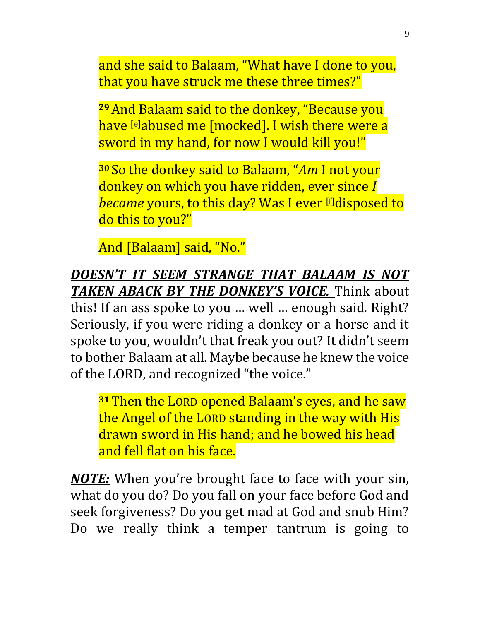and she said to Balaam, "What have I done to you, that you have struck me these three times?"

**<sup>29</sup>**And Balaam said to the donkey, "Because you have **[\[e\]](https://www.biblegateway.com/passage/?search=Numbers+22&version=NKJV#fen-NKJV-4405e)abused me [mocked]. I wish there were a** sword in my hand, for now I would kill you!"

**<sup>30</sup>** So the donkey said to Balaam, "*Am* I not your donkey on which you have ridden, ever since *I became* yours, to this day? Was I ever [\[f\]](https://www.biblegateway.com/passage/?search=Numbers+22&version=NKJV#fen-NKJV-4406f)disposed to do this to you?"

And [Balaam] said, "No."

*DOESN'T IT SEEM STRANGE THAT BALAAM IS NOT TAKEN ABACK BY THE DONKEY'S VOICE.* Think about this! If an ass spoke to you … well … enough said. Right? Seriously, if you were riding a donkey or a horse and it spoke to you, wouldn't that freak you out? It didn't seem to bother Balaam at all. Maybe because he knew the voice of the LORD, and recognized "the voice."

**<sup>31</sup>**Then the LORD opened Balaam's eyes, and he saw the Angel of the LORD standing in the way with His drawn sword in His hand; and he bowed his head and fell flat on his face.

*NOTE:* When you're brought face to face with your sin, what do you do? Do you fall on your face before God and seek forgiveness? Do you get mad at God and snub Him? Do we really think a temper tantrum is going to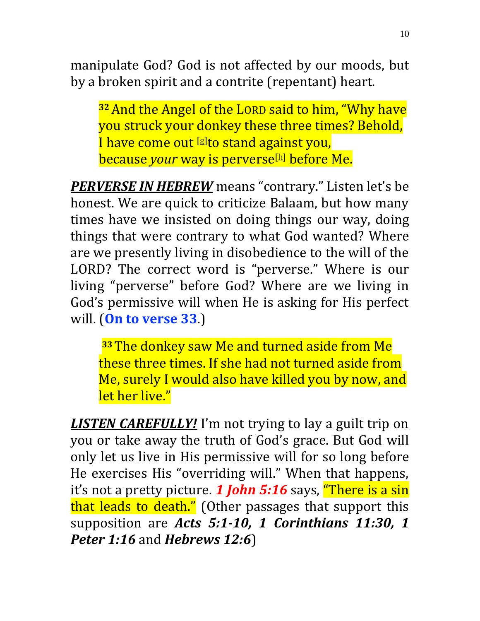manipulate God? God is not affected by our moods, but by a broken spirit and a contrite (repentant) heart.

**<sup>32</sup>**And the Angel of the LORD said to him, "Why have you struck your donkey these three times? Behold, I have come out [\[g\]](https://www.biblegateway.com/passage/?search=Numbers+22&version=NKJV#fen-NKJV-4408g)to stand against you, **because** *your* **way is perverse**<sup>[\[h\]](https://www.biblegateway.com/passage/?search=Numbers+22&version=NKJV#fen-NKJV-4408h)</sup> before Me.

*PERVERSE IN HEBREW* means "contrary." Listen let's be honest. We are quick to criticize Balaam, but how many times have we insisted on doing things our way, doing things that were contrary to what God wanted? Where are we presently living in disobedience to the will of the LORD? The correct word is "perverse." Where is our living "perverse" before God? Where are we living in God's permissive will when He is asking for His perfect will. (**On to verse 33**.)

**<sup>33</sup>**The donkey saw Me and turned aside from Me these three times. If she had not turned aside from Me, surely I would also have killed you by now, and let her live."

*LISTEN CAREFULLY!* I'm not trying to lay a guilt trip on you or take away the truth of God's grace. But God will only let us live in His permissive will for so long before He exercises His "overriding will." When that happens, it's not a pretty picture. *1 John 5:16* says, "There is a sin that leads to death." (Other passages that support this supposition are *Acts 5:1-10, 1 Corinthians 11:30, 1 Peter 1:16* and *Hebrews 12:6*)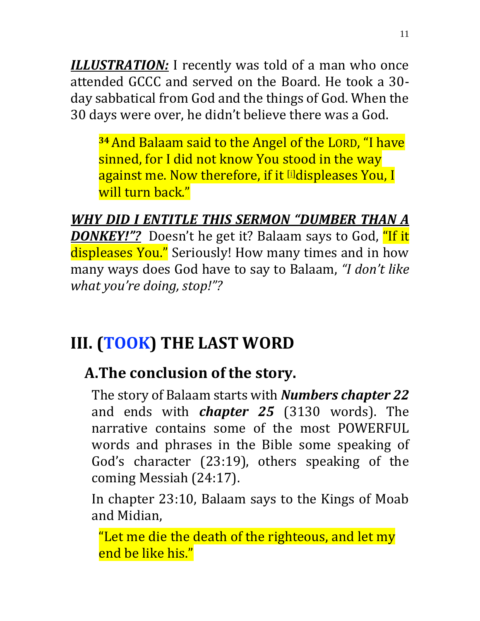*ILLUSTRATION:* I recently was told of a man who once attended GCCC and served on the Board. He took a 30 day sabbatical from God and the things of God. When the 30 days were over, he didn't believe there was a God.

**<sup>34</sup>**And Balaam said to the Angel of the LORD, "I have sinned, for I did not know You stood in the way against me. Now therefore, if it [\[i\]](https://www.biblegateway.com/passage/?search=Numbers+22&version=NKJV#fen-NKJV-4410i)displeases You, I will turn back."

*WHY DID I ENTITLE THIS SERMON "DUMBER THAN A DONKEY!"?* Doesn't he get it? Balaam says to God, "If it displeases You." Seriously! How many times and in how many ways does God have to say to Balaam, *"I don't like what you're doing, stop!"?*

# **III. (TOOK) THE LAST WORD**

# **A.The conclusion of the story.**

The story of Balaam starts with *Numbers chapter 22* and ends with *chapter 25* (3130 words). The narrative contains some of the most POWERFUL words and phrases in the Bible some speaking of God's character (23:19), others speaking of the coming Messiah (24:17).

In chapter 23:10, Balaam says to the Kings of Moab and Midian,

"Let me die the death of the righteous, and let my end be like his."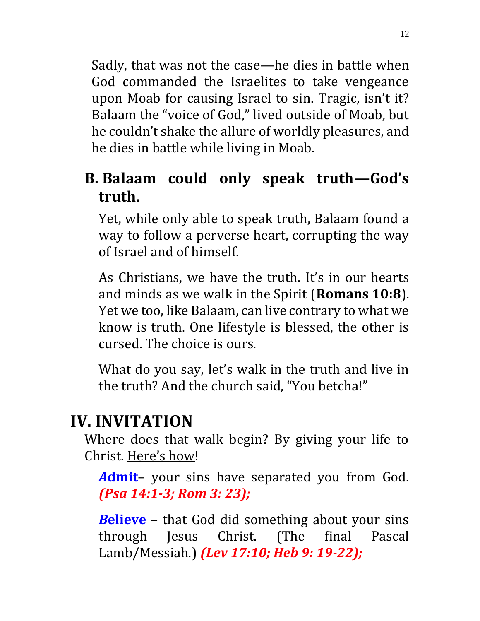Sadly, that was not the case—he dies in battle when God commanded the Israelites to take vengeance upon Moab for causing Israel to sin. Tragic, isn't it? Balaam the "voice of God," lived outside of Moab, but he couldn't shake the allure of worldly pleasures, and he dies in battle while living in Moab.

### **B. Balaam could only speak truth—God's truth.**

Yet, while only able to speak truth, Balaam found a way to follow a perverse heart, corrupting the way of Israel and of himself.

As Christians, we have the truth. It's in our hearts and minds as we walk in the Spirit (**Romans 10:8**). Yet we too, like Balaam, can live contrary to what we know is truth. One lifestyle is blessed, the other is cursed. The choice is ours.

What do you say, let's walk in the truth and live in the truth? And the church said, "You betcha!"

# **IV. INVITATION**

Where does that walk begin? By giving your life to Christ. Here's how!

*A***dmit**– your sins have separated you from God. *(Psa 14:1-3; Rom 3: 23);* 

*B***elieve –** that God did something about your sins through Jesus Christ. (The final Pascal Lamb/Messiah.) *(Lev 17:10; Heb 9: 19-22);*